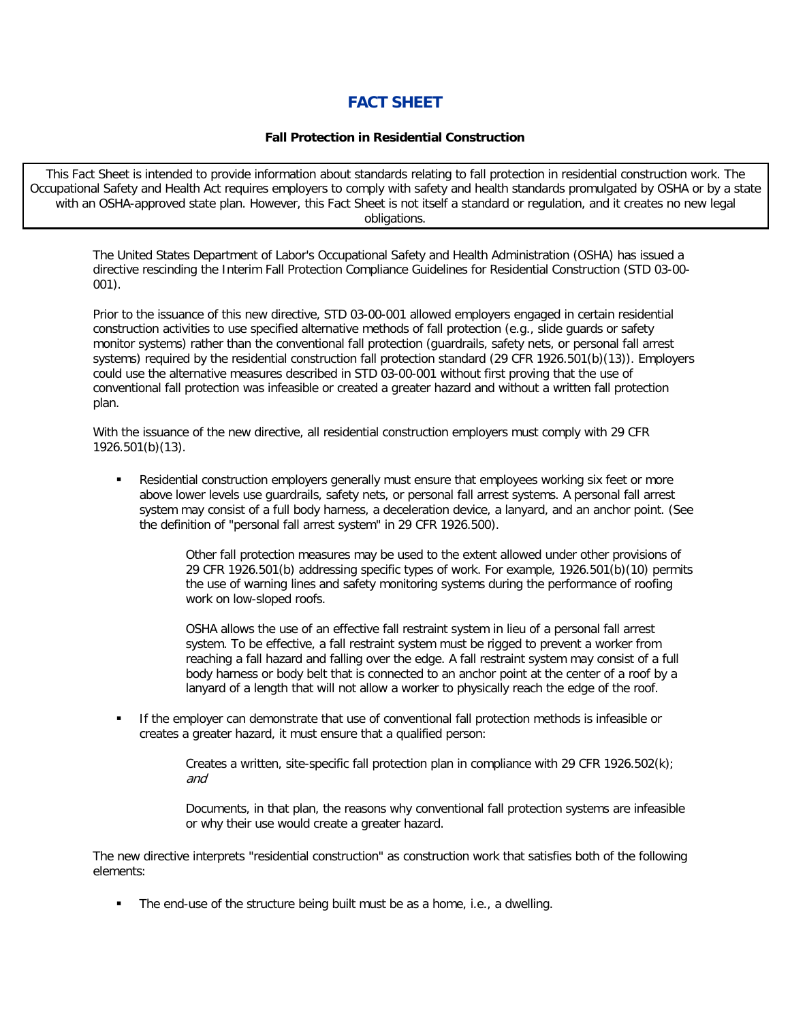## **FACT SHEET**

## **Fall Protection in Residential Construction**

This Fact Sheet is intended to provide information about standards relating to fall protection in residential construction work. The Occupational Safety and Health Act requires employers to comply with safety and health standards promulgated by OSHA or by a state with an OSHA-approved state plan. However, this Fact Sheet is not itself a standard or regulation, and it creates no new legal obligations.

The United States Department of Labor's Occupational Safety and Health Administration (OSHA) has issued a directive rescinding the Interim Fall Protection Compliance Guidelines for Residential Construction (STD 03-00- 001).

Prior to the issuance of this new directive, STD 03-00-001 allowed employers engaged in certain residential construction activities to use specified alternative methods of fall protection (e.g., slide guards or safety monitor systems) rather than the conventional fall protection (guardrails, safety nets, or personal fall arrest systems) required by the residential construction fall protection standard (29 CFR 1926.501(b)(13)). Employers could use the alternative measures described in STD 03-00-001 without first proving that the use of conventional fall protection was infeasible or created a greater hazard and without a written fall protection plan.

With the issuance of the new directive, all residential construction employers must comply with 29 CFR 1926.501(b)(13).

 Residential construction employers generally must ensure that employees working six feet or more above lower levels use guardrails, safety nets, or personal fall arrest systems. A personal fall arrest system may consist of a full body harness, a deceleration device, a lanyard, and an anchor point. (See the definition of "personal fall arrest system" in 29 CFR 1926.500).

> Other fall protection measures may be used to the extent allowed under other provisions of 29 CFR 1926.501(b) addressing specific types of work. For example, 1926.501(b)(10) permits the use of warning lines and safety monitoring systems during the performance of roofing work on low-sloped roofs.

OSHA allows the use of an effective fall restraint system in lieu of a personal fall arrest system. To be effective, a fall restraint system must be rigged to prevent a worker from reaching a fall hazard and falling over the edge. A fall restraint system may consist of a full body harness or body belt that is connected to an anchor point at the center of a roof by a lanyard of a length that will not allow a worker to physically reach the edge of the roof.

 If the employer can demonstrate that use of conventional fall protection methods is infeasible or creates a greater hazard, it must ensure that a qualified person:

> Creates a written, site-specific fall protection plan in compliance with 29 CFR 1926.502(k); and

Documents, in that plan, the reasons why conventional fall protection systems are infeasible or why their use would create a greater hazard.

The new directive interprets "residential construction" as construction work that satisfies both of the following elements:

The end-use of the structure being built must be as a home, i.e., a dwelling.